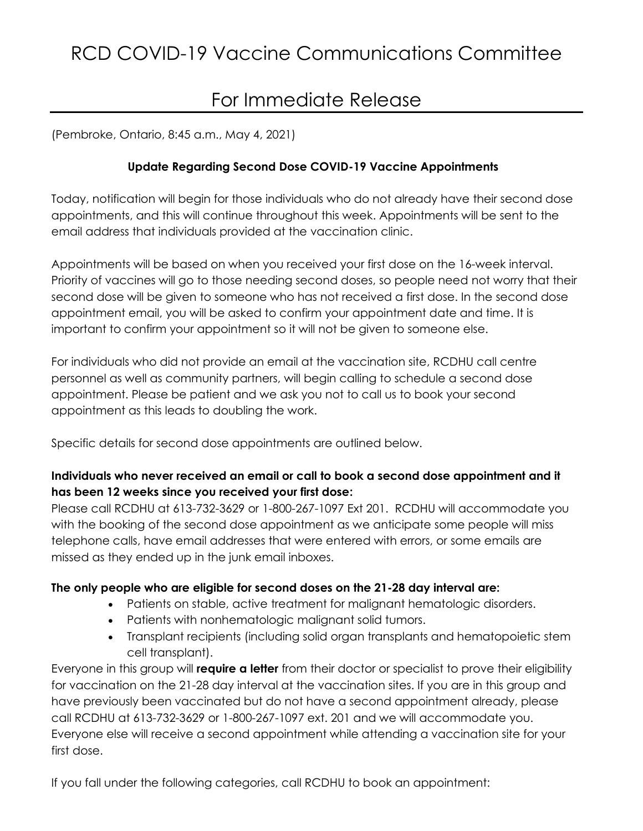# For Immediate Release

(Pembroke, Ontario, 8:45 a.m., May 4, 2021)

## **Update Regarding Second Dose COVID-19 Vaccine Appointments**

Today, notification will begin for those individuals who do not already have their second dose appointments, and this will continue throughout this week. Appointments will be sent to the email address that individuals provided at the vaccination clinic.

Appointments will be based on when you received your first dose on the 16-week interval. Priority of vaccines will go to those needing second doses, so people need not worry that their second dose will be given to someone who has not received a first dose. In the second dose appointment email, you will be asked to confirm your appointment date and time. It is important to confirm your appointment so it will not be given to someone else.

For individuals who did not provide an email at the vaccination site, RCDHU call centre personnel as well as community partners, will begin calling to schedule a second dose appointment. Please be patient and we ask you not to call us to book your second appointment as this leads to doubling the work.

Specific details for second dose appointments are outlined below.

## **Individuals who never received an email or call to book a second dose appointment and it has been 12 weeks since you received your first dose:**

Please call RCDHU at 613-732-3629 or 1-800-267-1097 Ext 201. RCDHU will accommodate you with the booking of the second dose appointment as we anticipate some people will miss telephone calls, have email addresses that were entered with errors, or some emails are missed as they ended up in the junk email inboxes.

### **The only people who are eligible for second doses on the 21-28 day interval are:**

- Patients on stable, active treatment for malignant hematologic disorders.
- Patients with nonhematologic malignant solid tumors.
- Transplant recipients (including solid organ transplants and hematopoietic stem cell transplant).

Everyone in this group will **require a letter** from their doctor or specialist to prove their eligibility for vaccination on the 21-28 day interval at the vaccination sites. If you are in this group and have previously been vaccinated but do not have a second appointment already, please call RCDHU at 613-732-3629 or 1-800-267-1097 ext. 201 and we will accommodate you. Everyone else will receive a second appointment while attending a vaccination site for your first dose.

If you fall under the following categories, call RCDHU to book an appointment: